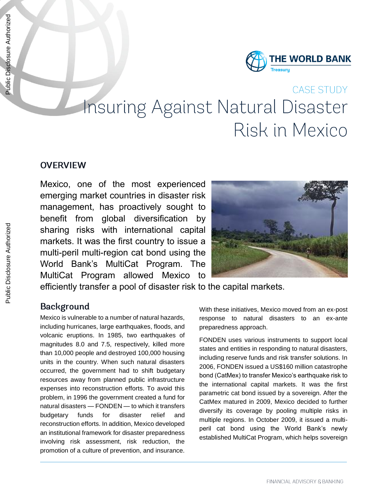

# CASE STUDY Insuring Against Natural Disaster Risk in Mexico

## **OVERVIEW**

Mexico, one of the most experienced emerging market countries in disaster risk management, has proactively sought to benefit from global diversification by sharing risks with international capital markets. It was the first country to issue a multi-peril multi-region cat bond using the World Bank's MultiCat Program. The MultiCat Program allowed Mexico to



efficiently transfer a pool of disaster risk to the capital markets.

# **Background**

Mexico is vulnerable to a number of natural hazards, including hurricanes, large earthquakes, floods, and volcanic eruptions. In 1985, two earthquakes of magnitudes 8.0 and 7.5, respectively, killed more than 10,000 people and destroyed 100,000 housing units in the country. When such natural disasters occurred, the government had to shift budgetary resources away from planned public infrastructure expenses into reconstruction efforts. To avoid this problem, in 1996 the government created a fund for natural disasters — FONDEN — to which it transfers budgetary funds for disaster relief and reconstruction efforts. In addition, Mexico developed an institutional framework for disaster preparedness involving risk assessment, risk reduction, the promotion of a culture of prevention, and insurance.

With these initiatives, Mexico moved from an ex-post response to natural disasters to an ex-ante preparedness approach.

FONDEN uses various instruments to support local states and entities in responding to natural disasters, including reserve funds and risk transfer solutions. In 2006, FONDEN issued a US\$160 million catastrophe bond (CatMex) to transfer Mexico's earthquake risk to the international capital markets. It was the first parametric cat bond issued by a sovereign. After the CatMex matured in 2009, Mexico decided to further diversify its coverage by pooling multiple risks in multiple regions. In October 2009, it issued a multiperil cat bond using the World Bank's newly established MultiCat Program, which helps sovereign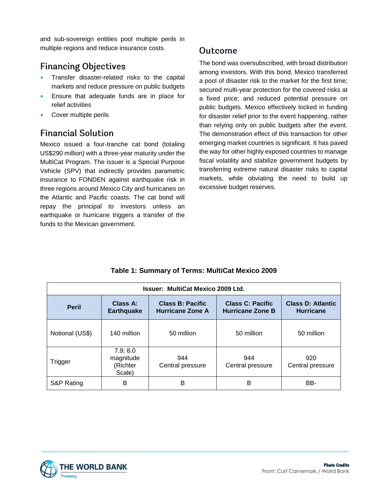and sub-sovereign entities pool multiple perils in multiple regions and reduce insurance costs.

# **Financing Objectives**

- Transfer disaster-related risks to the capital markets and reduce pressure on public budgets
- Ensure that adequate funds are in place for relief activities
- Cover multiple perils

# **Financial Solution**

Mexico issued a four-tranche cat bond (totaling US\$290 million) with a three-year maturity under the MultiCat Program. The issuer is a Special Purpose Vehicle (SPV) that indirectly provides parametric insurance to FONDEN against earthquake risk in three regions around Mexico City and hurricanes on the Atlantic and Pacific coasts. The cat bond will repay the principal to investors unless an earthquake or hurricane triggers a transfer of the funds to the Mexican government.

### Outcome

The bond was oversubscribed, with broad distribution among investors. With this bond, Mexico transferred a pool of disaster risk to the market for the first time; secured multi-year protection for the covered risks at a fixed price; and reduced potential pressure on public budgets. Mexico effectively locked in funding for disaster relief prior to the event happening, rather than relying only on public budgets after the event. The demonstration effect of this transaction for other emerging market countries is significant. It has paved the way for other highly exposed countries to manage fiscal volatility and stabilize government budgets by transferring extreme natural disaster risks to capital markets, while obviating the need to build up excessive budget reserves.

| Issuer: MultiCat Mexico 2009 Ltd. |                                             |                                                    |                                                    |                                              |
|-----------------------------------|---------------------------------------------|----------------------------------------------------|----------------------------------------------------|----------------------------------------------|
| <b>Peril</b>                      | Class A:<br><b>Earthquake</b>               | <b>Class B: Pacific</b><br><b>Hurricane Zone A</b> | <b>Class C: Pacific</b><br><b>Hurricane Zone B</b> | <b>Class D: Atlantic</b><br><b>Hurricane</b> |
| Notional (US\$)                   | 140 million                                 | 50 million                                         | 50 million                                         | 50 million                                   |
| Trigger                           | 7.9; 8.0<br>magnitude<br>(Richter<br>Scale) | 944<br>Central pressure                            | 944<br>Central pressure                            | 920<br>Central pressure                      |
| S&P Rating                        | в                                           | в                                                  | в                                                  | BB-                                          |

#### **Table 1: Summary of Terms: MultiCat Mexico 2009**